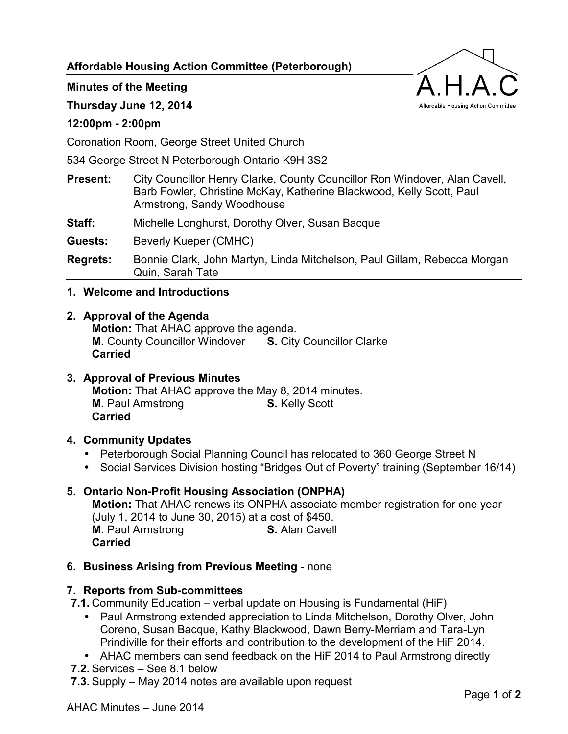**Affordable Housing Action Committee (Peterborough)** 

Affordable Housing Action Committee

**Minutes of the Meeting** 

**Thursday June 12, 2014** 

## **12:00pm - 2:00pm**

Coronation Room, George Street United Church

534 George Street N Peterborough Ontario K9H 3S2

| <b>Present:</b> | City Councillor Henry Clarke, County Councillor Ron Windover, Alan Cavell, |
|-----------------|----------------------------------------------------------------------------|
|                 | Barb Fowler, Christine McKay, Katherine Blackwood, Kelly Scott, Paul       |
|                 | Armstrong, Sandy Woodhouse                                                 |

**Staff:** Michelle Longhurst, Dorothy Olver, Susan Bacque

**Guests:** Beverly Kueper (CMHC)

**Regrets:** Bonnie Clark, John Martyn, Linda Mitchelson, Paul Gillam, Rebecca Morgan Quin, Sarah Tate

#### **1. Welcome and Introductions**

# **2. Approval of the Agenda Motion:** That AHAC approve the agenda.

**M.** County Councillor Windover **S.** City Councillor Clarke **Carried**

**3. Approval of Previous Minutes Motion:** That AHAC approve the May 8, 2014 minutes. **M.** Paul Armstrong **S.** Kelly Scott **Carried**

# **4. Community Updates**

- Peterborough Social Planning Council has relocated to 360 George Street N
- Social Services Division hosting "Bridges Out of Poverty" training (September 16/14)

# **5. Ontario Non-Profit Housing Association (ONPHA)**

**Motion:** That AHAC renews its ONPHA associate member registration for one year (July 1, 2014 to June 30, 2015) at a cost of \$450. **M.** Paul Armstrong **S.** Alan Cavell **Carried**

#### **6. Business Arising from Previous Meeting** - none

#### **7. Reports from Sub-committees**

**7.1.** Community Education – verbal update on Housing is Fundamental (HiF)

- Paul Armstrong extended appreciation to Linda Mitchelson, Dorothy Olver, John Coreno, Susan Bacque, Kathy Blackwood, Dawn Berry-Merriam and Tara-Lyn Prindiville for their efforts and contribution to the development of the HiF 2014.
- AHAC members can send feedback on the HiF 2014 to Paul Armstrong directly
- **7.2.** Services See 8.1 below
- **7.3.** Supply May 2014 notes are available upon request